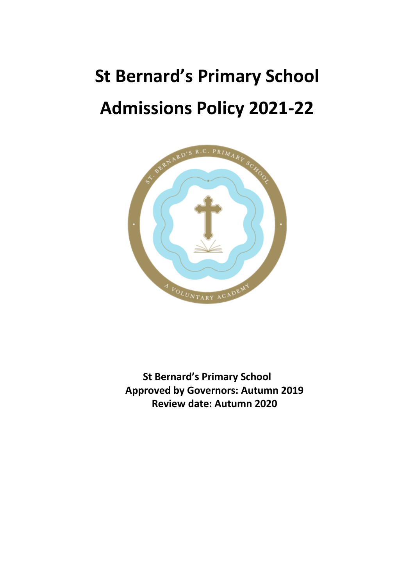# **St Bernard's Primary School Admissions Policy 2021-22**



**St Bernard's Primary School Approved by Governors: Autumn 2019 Review date: Autumn 2020**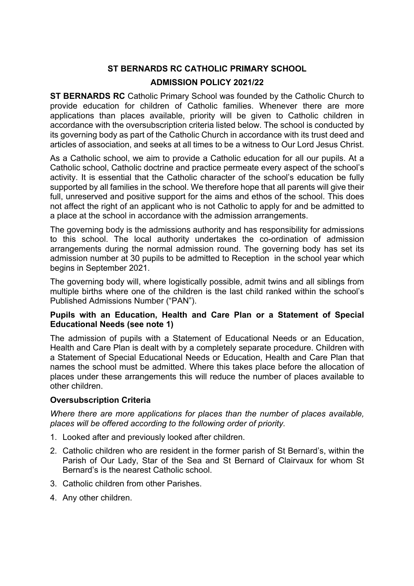# **ST BERNARDS RC CATHOLIC PRIMARY SCHOOL**

#### **ADMISSION POLICY 2021/22**

**ST BERNARDS RC** Catholic Primary School was founded by the Catholic Church to provide education for children of Catholic families. Whenever there are more applications than places available, priority will be given to Catholic children in accordance with the oversubscription criteria listed below. The school is conducted by its governing body as part of the Catholic Church in accordance with its trust deed and articles of association, and seeks at all times to be a witness to Our Lord Jesus Christ.

As a Catholic school, we aim to provide a Catholic education for all our pupils. At a Catholic school, Catholic doctrine and practice permeate every aspect of the school's activity. It is essential that the Catholic character of the school's education be fully supported by all families in the school. We therefore hope that all parents will give their full, unreserved and positive support for the aims and ethos of the school. This does not affect the right of an applicant who is not Catholic to apply for and be admitted to a place at the school in accordance with the admission arrangements.

The governing body is the admissions authority and has responsibility for admissions to this school. The local authority undertakes the co-ordination of admission arrangements during the normal admission round. The governing body has set its admission number at 30 pupils to be admitted to Reception in the school year which begins in September 2021.

The governing body will, where logistically possible, admit twins and all siblings from multiple births where one of the children is the last child ranked within the school's Published Admissions Number ("PAN").

#### **Pupils with an Education, Health and Care Plan or a Statement of Special Educational Needs (see note 1)**

The admission of pupils with a Statement of Educational Needs or an Education, Health and Care Plan is dealt with by a completely separate procedure. Children with a Statement of Special Educational Needs or Education, Health and Care Plan that names the school must be admitted. Where this takes place before the allocation of places under these arrangements this will reduce the number of places available to other children.

#### **Oversubscription Criteria**

*Where there are more applications for places than the number of places available, places will be offered according to the following order of priority.*

- 1. Looked after and previously looked after children.
- 2. Catholic children who are resident in the former parish of St Bernard's, within the Parish of Our Lady, Star of the Sea and St Bernard of Clairvaux for whom St Bernard's is the nearest Catholic school.
- 3. Catholic children from other Parishes.
- 4. Any other children.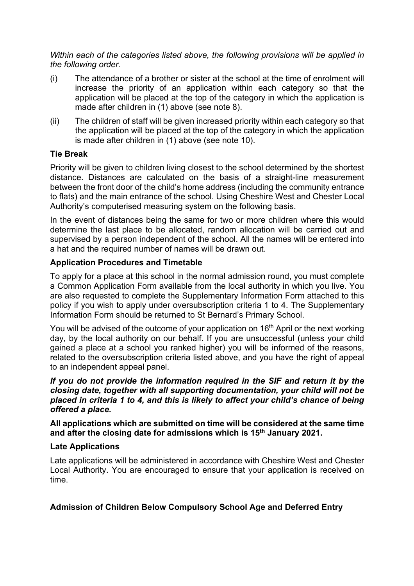*Within each of the categories listed above, the following provisions will be applied in the following order.*

- (i) The attendance of a brother or sister at the school at the time of enrolment will increase the priority of an application within each category so that the application will be placed at the top of the category in which the application is made after children in (1) above (see note 8).
- (ii) The children of staff will be given increased priority within each category so that the application will be placed at the top of the category in which the application is made after children in (1) above (see note 10).

## **Tie Break**

Priority will be given to children living closest to the school determined by the shortest distance. Distances are calculated on the basis of a straight-line measurement between the front door of the child's home address (including the community entrance to flats) and the main entrance of the school. Using Cheshire West and Chester Local Authority's computerised measuring system on the following basis.

In the event of distances being the same for two or more children where this would determine the last place to be allocated, random allocation will be carried out and supervised by a person independent of the school. All the names will be entered into a hat and the required number of names will be drawn out.

## **Application Procedures and Timetable**

To apply for a place at this school in the normal admission round, you must complete a Common Application Form available from the local authority in which you live. You are also requested to complete the Supplementary Information Form attached to this policy if you wish to apply under oversubscription criteria 1 to 4. The Supplementary Information Form should be returned to St Bernard's Primary School.

You will be advised of the outcome of your application on 16<sup>th</sup> April or the next working day, by the local authority on our behalf. If you are unsuccessful (unless your child gained a place at a school you ranked higher) you will be informed of the reasons, related to the oversubscription criteria listed above, and you have the right of appeal to an independent appeal panel.

*If you do not provide the information required in the SIF and return it by the closing date, together with all supporting documentation, your child will not be placed in criteria 1 to 4, and this is likely to affect your child's chance of being offered a place.*

**All applications which are submitted on time will be considered at the same time and after the closing date for admissions which is 15th January 2021.**

#### **Late Applications**

Late applications will be administered in accordance with Cheshire West and Chester Local Authority. You are encouraged to ensure that your application is received on time.

#### **Admission of Children Below Compulsory School Age and Deferred Entry**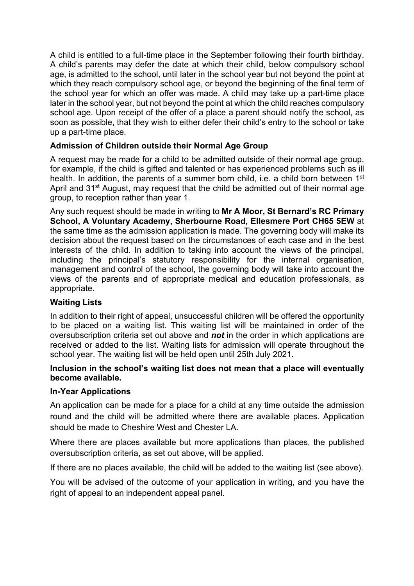A child is entitled to a full-time place in the September following their fourth birthday. A child's parents may defer the date at which their child, below compulsory school age, is admitted to the school, until later in the school year but not beyond the point at which they reach compulsory school age, or beyond the beginning of the final term of the school year for which an offer was made. A child may take up a part-time place later in the school year, but not beyond the point at which the child reaches compulsory school age. Upon receipt of the offer of a place a parent should notify the school, as soon as possible, that they wish to either defer their child's entry to the school or take up a part-time place.

# **Admission of Children outside their Normal Age Group**

A request may be made for a child to be admitted outside of their normal age group, for example, if the child is gifted and talented or has experienced problems such as ill health. In addition, the parents of a summer born child, i.e. a child born between 1<sup>st</sup> April and 31<sup>st</sup> August, may request that the child be admitted out of their normal age group, to reception rather than year 1.

Any such request should be made in writing to **Mr A Moor, St Bernard's RC Primary School, A Voluntary Academy, Sherbourne Road, Ellesmere Port CH65 5EW** at the same time as the admission application is made. The governing body will make its decision about the request based on the circumstances of each case and in the best interests of the child. In addition to taking into account the views of the principal, including the principal's statutory responsibility for the internal organisation, management and control of the school, the governing body will take into account the views of the parents and of appropriate medical and education professionals, as appropriate.

## **Waiting Lists**

In addition to their right of appeal, unsuccessful children will be offered the opportunity to be placed on a waiting list. This waiting list will be maintained in order of the oversubscription criteria set out above and *not* in the order in which applications are received or added to the list. Waiting lists for admission will operate throughout the school year. The waiting list will be held open until 25th July 2021.

#### **Inclusion in the school's waiting list does not mean that a place will eventually become available.**

#### **In-Year Applications**

An application can be made for a place for a child at any time outside the admission round and the child will be admitted where there are available places. Application should be made to Cheshire West and Chester LA.

Where there are places available but more applications than places, the published oversubscription criteria, as set out above, will be applied.

If there are no places available, the child will be added to the waiting list (see above).

You will be advised of the outcome of your application in writing, and you have the right of appeal to an independent appeal panel.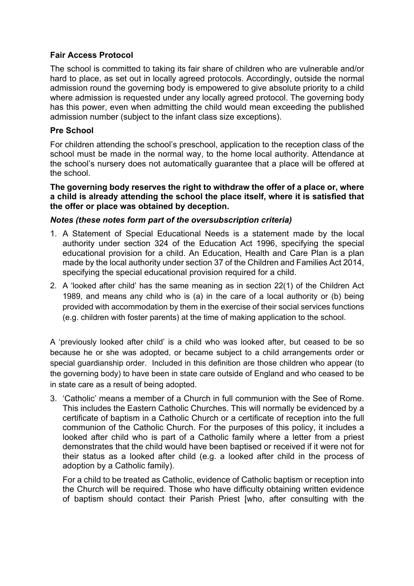## **Fair Access Protocol**

The school is committed to taking its fair share of children who are vulnerable and/or hard to place, as set out in locally agreed protocols. Accordingly, outside the normal admission round the governing body is empowered to give absolute priority to a child where admission is requested under any locally agreed protocol. The governing body has this power, even when admitting the child would mean exceeding the published admission number (subject to the infant class size exceptions).

#### **Pre School**

For children attending the school's preschool, application to the reception class of the school must be made in the normal way, to the home local authority. Attendance at the school's nursery does not automatically guarantee that a place will be offered at the school.

**The governing body reserves the right to withdraw the offer of a place or, where a child is already attending the school the place itself, where it is satisfied that the offer or place was obtained by deception.**

#### *Notes (these notes form part of the oversubscription criteria)*

- 1. A Statement of Special Educational Needs is a statement made by the local authority under section 324 of the Education Act 1996, specifying the special educational provision for a child. An Education, Health and Care Plan is a plan made by the local authority under section 37 of the Children and Families Act 2014, specifying the special educational provision required for a child.
- 2. A 'looked after child' has the same meaning as in section 22(1) of the Children Act 1989, and means any child who is (a) in the care of a local authority or (b) being provided with accommodation by them in the exercise of their social services functions (e.g. children with foster parents) at the time of making application to the school.

A 'previously looked after child' is a child who was looked after, but ceased to be so because he or she was adopted, or became subject to a child arrangements order or special guardianship order. Included in this definition are those children who appear (to the governing body) to have been in state care outside of England and who ceased to be in state care as a result of being adopted.

3. 'Catholic' means a member of a Church in full communion with the See of Rome. This includes the Eastern Catholic Churches. This will normally be evidenced by a certificate of baptism in a Catholic Church or a certificate of reception into the full communion of the Catholic Church. For the purposes of this policy, it includes a looked after child who is part of a Catholic family where a letter from a priest demonstrates that the child would have been baptised or received if it were not for their status as a looked after child (e.g. a looked after child in the process of adoption by a Catholic family).

For a child to be treated as Catholic, evidence of Catholic baptism or reception into the Church will be required. Those who have difficulty obtaining written evidence of baptism should contact their Parish Priest [who, after consulting with the